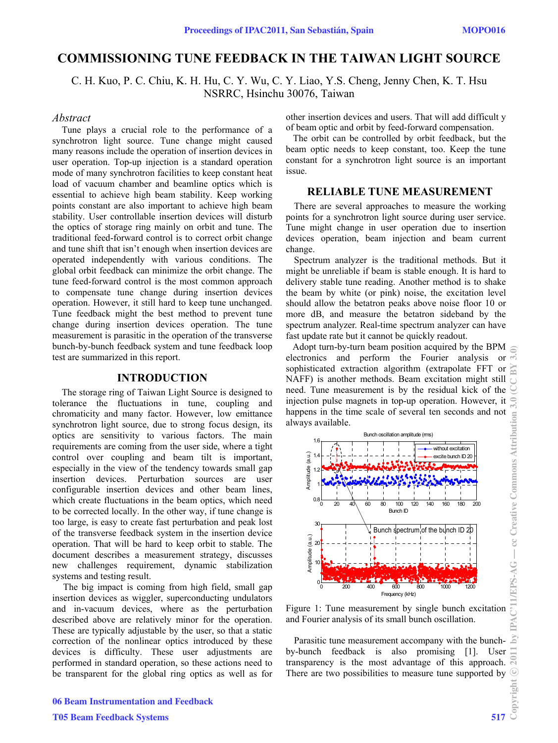# **COMMISSIONING TUNE FEEDBACK IN THE TAIWAN LIGHT SOURCE**

C. H. Kuo, P. C. Chiu, K. H. Hu, C. Y. Wu, C. Y. Liao, Y.S. Cheng, Jenny Chen, K. T. Hsu NSRRC, Hsinchu 30076, Taiwan

# *Abstract*

Tune plays a crucial role to the performance of a synchrotron light source. Tune change might caused many reasons include the operation of insertion devices in user operation. Top-up injection is a standard operation mode of many synchrotron facilities to keep constant heat load of vacuum chamber and beamline optics which is essential to achieve high beam stability. Keep working points constant are also important to achieve high beam stability. User controllable insertion devices will disturb the optics of storage ring mainly on orbit and tune. The traditional feed-forward control is to correct orbit change and tune shift that isn't enough when insertion devices are operated independently with various conditions. The global orbit feedback can minimize the orbit change. The tune feed-forward control is the most common approach to compensate tune change during insertion devices operation. However, it still hard to keep tune unchanged. Tune feedback might the best method to prevent tune change during insertion devices operation. The tune measurement is parasitic in the operation of the transverse bunch-by-bunch feedback system and tune feedback loop test are summarized in this report.

## **INTRODUCTION**

The storage ring of Taiwan Light Source is designed to tolerance the fluctuations in tune, coupling and chromaticity and many factor. However, low emittance synchrotron light source, due to strong focus design, its optics are sensitivity to various factors. The main requirements are coming from the user side, where a tight control over coupling and beam tilt is important, especially in the view of the tendency towards small gap insertion devices. Perturbation sources are user configurable insertion devices and other beam lines, which create fluctuations in the beam optics, which need to be corrected locally. In the other way, if tune change is too large, is easy to create fast perturbation and peak lost of the transverse feedback system in the insertion device operation. That will be hard to keep orbit to stable. The document describes a measurement strategy, discusses new challenges requirement, dynamic stabilization systems and testing result.

 The big impact is coming from high field, small gap insertion devices as wiggler, superconducting undulators and in-vacuum devices, where as the perturbation described above are relatively minor for the operation. These are typically adjustable by the user, so that a static correction of the nonlinear optics introduced by these devices is difficulty. These user adjustments are performed in standard operation, so these actions need to be transparent for the global ring optics as well as for other insertion devices and users. That will add difficult y of beam optic and orbit by feed-forward compensation.

 The orbit can be controlled by orbit feedback, but the beam optic needs to keep constant, too. Keep the tune constant for a synchrotron light source is an important issue.

## **RELIABLE TUNE MEASUREMENT**

There are several approaches to measure the working points for a synchrotron light source during user service. Tune might change in user operation due to insertion devices operation, beam injection and beam current change.

Spectrum analyzer is the traditional methods. But it might be unreliable if beam is stable enough. It is hard to delivery stable tune reading. Another method is to shake the beam by white (or pink) noise, the excitation level should allow the betatron peaks above noise floor 10 or more dB, and measure the betatron sideband by the spectrum analyzer. Real-time spectrum analyzer can have fast update rate but it cannot be quickly readout.

Adopt turn-by-turn beam position acquired by the BPM electronics and perform the Fourier analysis or  $\overline{\sigma}$ sophisticated extraction algorithm (extrapolate FFT or NAFF) is another methods. Beam excitation might still need. Tune measurement is by the residual kick of the injection pulse magnets in top-up operation. However, it happens in the time scale of several ten seconds and not always available.



Figure 1: Tune measurement by single bunch excitation and Fourier analysis of its small bunch oscillation.

Parasitic tune measurement accompany with the bunchby-bunch feedback is also promising [1]. User transparency is the most advantage of this approach. There are two possibilities to measure tune supported by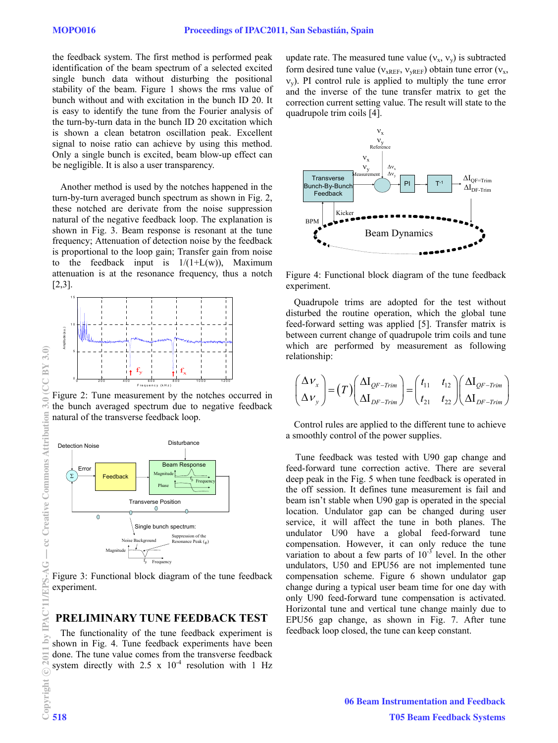the feedback system. The first method is performed peak identification of the beam spectrum of a selected excited single bunch data without disturbing the positional stability of the beam. Figure 1 shows the rms value of bunch without and with excitation in the bunch ID 20. It is easy to identify the tune from the Fourier analysis of the turn-by-turn data in the bunch ID 20 excitation which is shown a clean betatron oscillation peak. Excellent signal to noise ratio can achieve by using this method. Only a single bunch is excited, beam blow-up effect can be negligible. It is also a user transparency.

Another method is used by the notches happened in the turn-by-turn averaged bunch spectrum as shown in Fig. 2, these notched are derivate from the noise suppression natural of the negative feedback loop. The explanation is shown in Fig. 3. Beam response is resonant at the tune frequency; Attenuation of detection noise by the feedback is proportional to the loop gain; Transfer gain from noise to the feedback input is  $1/(1+L(w))$ , Maximum attenuation is at the resonance frequency, thus a notch [2,3].



Figure 2: Tune measurement by the notches occurred in the bunch averaged spectrum due to negative feedback natural of the transverse feedback loop.



 Figure 3: Functional block diagram of the tune feedback experiment.

#### **PRELIMINARY TUNE FEEDBACK TEST**

The functionality of the tune feedback experiment is shown in Fig. 4. Tune feedback experiments have been done. The tune value comes from the transverse feedback system directly with  $2.5 \times 10^{-4}$  resolution with 1 Hz update rate. The measured tune value  $(v_x, v_y)$  is subtracted form desired tune value ( $v_{xREF}$ ,  $v_{yREF}$ ) obtain tune error ( $v_x$ ,  $v_y$ ). PI control rule is applied to multiply the tune error and the inverse of the tune transfer matrix to get the correction current setting value. The result will state to the quadrupole trim coils [4].



Figure 4: Functional block diagram of the tune feedback experiment.

Quadrupole trims are adopted for the test without disturbed the routine operation, which the global tune feed-forward setting was applied [5]. Transfer matrix is between current change of quadrupole trim coils and tune which are performed by measurement as following relationship:

$$
\begin{pmatrix}\n\Delta v_x \\
\Delta v_y\n\end{pmatrix} = (T) \begin{pmatrix}\n\Delta I_{QF-Trim} \\
\Delta I_{DF-Trim}\n\end{pmatrix} = \begin{pmatrix}\nt_{11} & t_{12} \\
t_{21} & t_{22}\n\end{pmatrix} \begin{pmatrix}\n\Delta I_{QF-Trim} \\
\Delta I_{DF-Trim}\n\end{pmatrix}
$$

Control rules are applied to the different tune to achieve a smoothly control of the power supplies.

 Tune feedback was tested with U90 gap change and feed-forward tune correction active. There are several deep peak in the Fig. 5 when tune feedback is operated in the off session. It defines tune measurement is fail and beam isn't stable when U90 gap is operated in the special location. Undulator gap can be changed during user service, it will affect the tune in both planes. The undulator U90 have a global feed-forward tune compensation. However, it can only reduce the tune variation to about a few parts of  $10^{-3}$  level. In the other undulators, U50 and EPU56 are not implemented tune compensation scheme. Figure 6 shown undulator gap change during a typical user beam time for one day with only U90 feed-forward tune compensation is activated. Horizontal tune and vertical tune change mainly due to EPU56 gap change, as shown in Fig. 7. After tune feedback loop closed, the tune can keep constant.

c○

IPA  $\overline{\mathbf{b}}$ 

 $CCBY 3.0$ 

 $\overline{a}$ 

cc Creative Commons Attributi